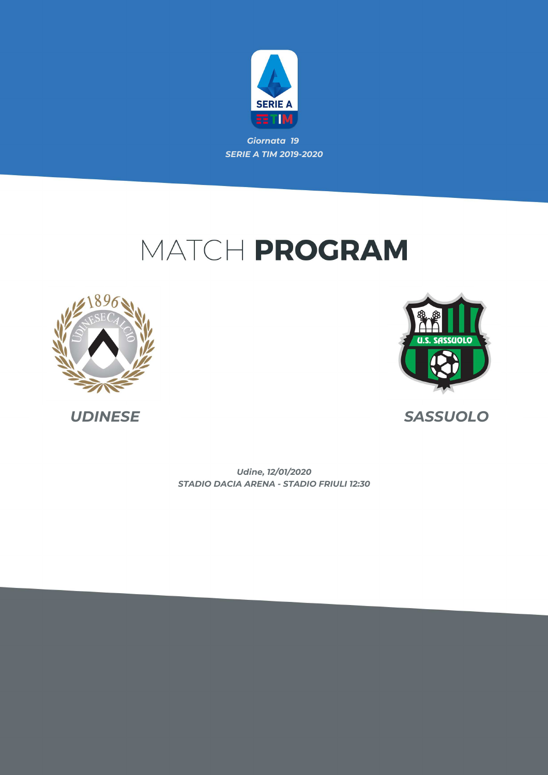

# MATCH PROGRAM





*UDINESE SASSUOLO*

*STADIO DACIA ARENA - STADIO FRIULI 12:30 Udine, 12/01/2020*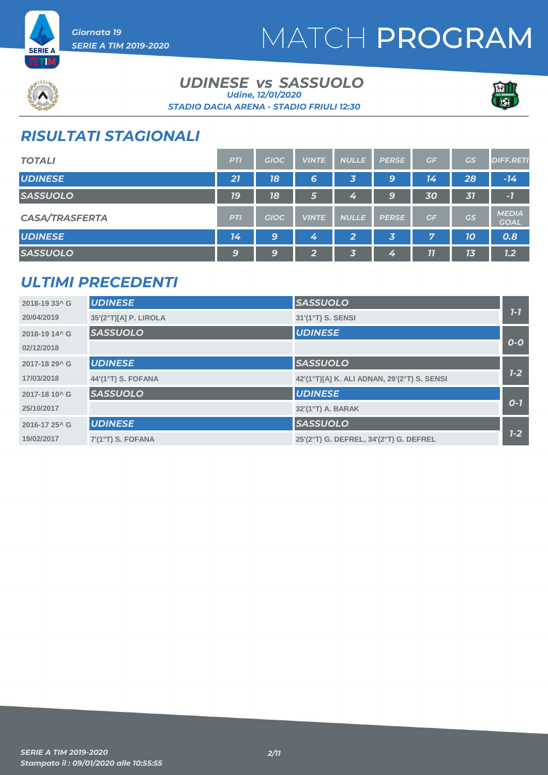

*Giornata 19 SERIE A TIM 2019-2020*



### *UDINESE SASSUOLO vs STADIO DACIA ARENA - STADIO FRIULI 12:30 Udine, 12/01/2020*



## *RISULTATI STAGIONALI*

| <b>TOTALI</b>         | <b>PTI</b> | <b>GIOC</b> | <b>VINTE</b>            | <b>NULLE</b> | <b>PERSE</b> | GF | GS | <b>DIFF.RETI</b>            |
|-----------------------|------------|-------------|-------------------------|--------------|--------------|----|----|-----------------------------|
| <b>UDINESE</b>        | 21         | 18          | 6                       | 3            | 9            | 14 | 28 | $-14$                       |
| <b>SASSUOLO</b>       | <b>19</b>  | 18          | 6                       | 4            | 9            | 30 | 31 | $-7$                        |
| <b>CASA/TRASFERTA</b> | <b>PTI</b> | <b>GIOC</b> | <b>VINTE</b>            | <b>NULLE</b> | <b>PERSE</b> | GF | GS | <b>MEDIA</b><br><b>GOAL</b> |
| <b>UDINESE</b>        | 14         | 9           | 4                       | 2            | 3            | 7  | 10 | 0.8                         |
| <b>SASSUOLO</b>       | 9          | 9           | $\overline{\mathbf{2}}$ | 3            | 4            | 77 | 13 | 7.2                         |

### *ULTIMI PRECEDENTI*

| 2018-19 33^ G             | <b>UDINESE</b>        | <b>SASSUOLO</b>                             |       |
|---------------------------|-----------------------|---------------------------------------------|-------|
| 20/04/2019                | 35'(2°T)[A] P. LIROLA | 31'(1°T) S. SENSI                           | $7-7$ |
| 2018-19 14^ G             | <b>SASSUOLO</b>       | <b>UDINESE</b>                              |       |
| 02/12/2018                |                       |                                             | $O-O$ |
| 2017-18 29^ G             | <b>UDINESE</b>        | <b>SASSUOLO</b>                             |       |
| 17/03/2018                | 44'(1°T) S. FOFANA    | 42'(1°T)[A] K. ALI ADNAN, 29'(2°T) S. SENSI | $1-2$ |
| 2017-18 10 <sup>^</sup> G | <b>SASSUOLO</b>       | <b>UDINESE</b>                              |       |
| 25/10/2017                |                       | 32'(1°T) A. BARAK                           | $O-I$ |
| 2016-17 25^ G             | <b>UDINESE</b>        | <b>SASSUOLO</b>                             |       |
| 19/02/2017                | 7'(1°T) S. FOFANA     | 25'(2°T) G. DEFREL, 34'(2°T) G. DEFREL      | $1-2$ |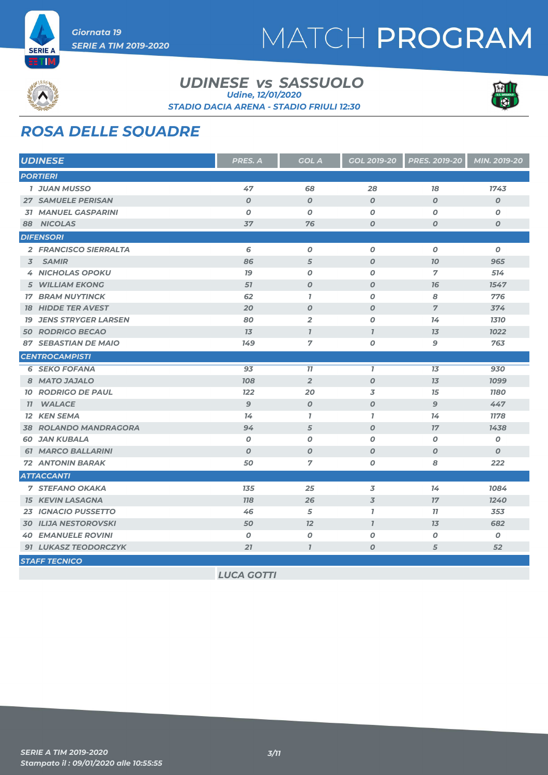



ETIM

#### *UDINESE SASSUOLO vs STADIO DACIA ARENA - STADIO FRIULI 12:30 Udine, 12/01/2020*



## *ROSA DELLE SQUADRE*

| <b>UDINESE</b>                | PRES. A           | <b>GOL A</b>     | GOL 2019-20              | <b>PRES. 2019-20</b> | MIN. 2019-20     |
|-------------------------------|-------------------|------------------|--------------------------|----------------------|------------------|
| <b>PORTIERI</b>               |                   |                  |                          |                      |                  |
| <b>1 JUAN MUSSO</b>           | 47                | 68               | 28                       | 78                   | 1743             |
| <b>27 SAMUELE PERISAN</b>     | $\boldsymbol{O}$  | $\boldsymbol{O}$ | $\boldsymbol{O}$         | $\boldsymbol{O}$     | $\boldsymbol{O}$ |
| <b>31 MANUEL GASPARINI</b>    | $\boldsymbol{O}$  | 0                | 0                        | $\boldsymbol{0}$     | 0                |
| 88 NICOLAS                    | 37                | 76               | $\boldsymbol{0}$         | $\boldsymbol{0}$     | $\boldsymbol{O}$ |
| <b>DIFENSORI</b>              |                   |                  |                          |                      |                  |
| 2 FRANCISCO SIERRALTA         | 6                 | $\pmb{o}$        | $\boldsymbol{0}$         | $\boldsymbol{o}$     | O                |
| <b>SAMIR</b><br>3             | 86                | 5                | $\boldsymbol{O}$         | 70                   | 965              |
| <b>4 NICHOLAS OPOKU</b>       | 79                | O                | $\boldsymbol{0}$         | $\overline{7}$       | 514              |
| <b>5 WILLIAM EKONG</b>        | 57                | $\boldsymbol{O}$ | $\boldsymbol{O}$         | 76                   | 1547             |
| <b>17 BRAM NUYTINCK</b>       | 62                | $\mathbf{7}$     | $\boldsymbol{0}$         | 8                    | 776              |
| <b>18 HIDDE TER AVEST</b>     | 20                | $\boldsymbol{O}$ | $\boldsymbol{O}$         | $\overline{7}$       | 374              |
| <b>19 JENS STRYGER LARSEN</b> | 80                | $\overline{2}$   | $\boldsymbol{0}$         | 14                   | 1310             |
| <b>50 RODRIGO BECAO</b>       | 13                | $\mathbf{I}$     | $\overline{1}$           | 13                   | 1022             |
| <b>87 SEBASTIAN DE MAIO</b>   | 149               | $\overline{7}$   | 0                        | $\mathbf{9}$         | 763              |
| <b>CENTROCAMPISTI</b>         |                   |                  |                          |                      |                  |
| <b>6 SEKO FOFANA</b>          | 93                | 11               | $\overline{I}$           | 13                   | 930              |
| 8 MATO JAJALO                 | 108               | $\overline{2}$   | $\boldsymbol{O}$         | 13                   | 1099             |
| <b>10 RODRIGO DE PAUL</b>     | 122               | 20               | 3                        | 15                   | <b>1180</b>      |
| <b>WALACE</b><br>77           | 9                 | $\boldsymbol{O}$ | $\boldsymbol{O}$         | $\mathbf{9}$         | 447              |
| <b>12 KEN SEMA</b>            | 74                | $\mathbf{I}$     | $\overline{1}$           | 14                   | 1178             |
| <b>38 ROLANDO MANDRAGORA</b>  | 94                | 5                | $\boldsymbol{O}$         | 17                   | 1438             |
| <b>60 JAN KUBALA</b>          | O                 | O                | $\boldsymbol{0}$         | $\boldsymbol{O}$     | $\boldsymbol{o}$ |
| <b>61 MARCO BALLARINI</b>     | $\boldsymbol{O}$  | $\boldsymbol{O}$ | $\boldsymbol{0}$         | $\boldsymbol{O}$     | 0                |
| <b>72 ANTONIN BARAK</b>       | 50                | $\overline{7}$   | 0                        | 8                    | 222              |
| <b>ATTACCANTI</b>             |                   |                  |                          |                      |                  |
| <b>7 STEFANO OKAKA</b>        | 135               | 25               | $\overline{3}$           | 14                   | 1084             |
| <b>15 KEVIN LASAGNA</b>       | <b>118</b>        | 26               | $\overline{\mathcal{Z}}$ | 17                   | 1240             |
| 23 IGNACIO PUSSETTO           | 46                | 5                | $\overline{1}$           | 77                   | 353              |
| <b>30 ILIJA NESTOROVSKI</b>   | 50                | 12               | $\overline{1}$           | 13                   | 682              |
| <b>40 EMANUELE ROVINI</b>     | O                 | 0                | 0                        | $\boldsymbol{O}$     | 0                |
| 91 LUKASZ TEODORCZYK          | 21                | $\overline{1}$   | $\boldsymbol{O}$         | 5                    | 52               |
| <b>STAFF TECNICO</b>          |                   |                  |                          |                      |                  |
|                               | <b>LUCA GOTTI</b> |                  |                          |                      |                  |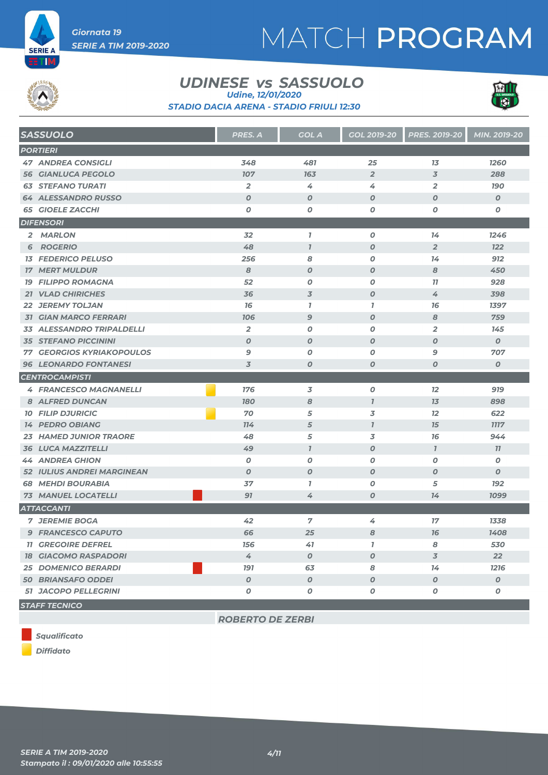

# MATCH PROGRAM



ETIM

### *UDINESE SASSUOLO vs Udine, 12/01/2020*



*STADIO DACIA ARENA - STADIO FRIULI 12:30*

| <b>SASSUOLO</b>                                               | <b>PRES. A</b>   | <b>GOL A</b>     | <b>GOL 2019-20</b> | <b>PRES. 2019-20</b> | MIN. 2019-20     |
|---------------------------------------------------------------|------------------|------------------|--------------------|----------------------|------------------|
| <b>PORTIERI</b>                                               |                  |                  |                    |                      |                  |
| <b>47 ANDREA CONSIGLI</b>                                     | 348              | 481              | 25                 | 13                   | 1260             |
| <b>56 GIANLUCA PEGOLO</b>                                     | 107              | 163              | $\overline{2}$     | $\overline{3}$       | 288              |
| <b>63 STEFANO TURATI</b>                                      | $\overline{2}$   | 4                | 4                  | $\overline{2}$       | <b>190</b>       |
| <b>64 ALESSANDRO RUSSO</b>                                    | $\boldsymbol{O}$ | $\boldsymbol{O}$ | $\boldsymbol{O}$   | $\boldsymbol{0}$     | $\boldsymbol{0}$ |
| <b>65 GIOELE ZACCHI</b>                                       | O                | O                | 0                  | 0                    | O                |
| <b>DIFENSORI</b>                                              |                  |                  |                    |                      |                  |
| 2 MARLON                                                      | 32               | $\mathbf{I}$     | $\boldsymbol{O}$   | 14                   | 1246             |
| <b>6 ROGERIO</b>                                              | 48               | $\overline{1}$   | $\boldsymbol{O}$   | $\overline{2}$       | 122              |
| <b>13 FEDERICO PELUSO</b>                                     | 256              | 8                | $\boldsymbol{o}$   | 14                   | 912              |
| <b>17 MERT MULDUR</b>                                         | 8                | $\boldsymbol{O}$ | $\boldsymbol{O}$   | 8                    | 450              |
| <b>19 FILIPPO ROMAGNA</b>                                     | 52               | 0                | $\boldsymbol{0}$   | 77                   | 928              |
| 21 VLAD CHIRICHES                                             | 36               | 3                | $\boldsymbol{O}$   | 4                    | 398              |
| <b>22 JEREMY TOLJAN</b>                                       | 76               | $\mathbf{I}$     | $\mathbf{I}$       | 76                   | 1397             |
| <b>31 GIAN MARCO FERRARI</b>                                  | 106              | $\mathbf{9}$     | $\boldsymbol{O}$   | 8                    | 759              |
| <b>33 ALESSANDRO TRIPALDELLI</b>                              | $\overline{2}$   | O                | $\boldsymbol{O}$   | $\overline{2}$       | 145              |
| <b>35 STEFANO PICCININI</b>                                   | $\boldsymbol{O}$ | $\boldsymbol{O}$ | $\boldsymbol{O}$   | $\boldsymbol{0}$     | $\boldsymbol{0}$ |
| <b>77 GEORGIOS KYRIAKOPOULOS</b>                              | 9                | 0                | $\boldsymbol{0}$   | 9                    | 707              |
| <b>96 LEONARDO FONTANESI</b>                                  | 3                | $\boldsymbol{O}$ | $\boldsymbol{O}$   | $\boldsymbol{O}$     | $\boldsymbol{o}$ |
| <b>CENTROCAMPISTI</b>                                         |                  |                  |                    |                      |                  |
| <b>4 FRANCESCO MAGNANELLI</b>                                 | 176              | 3                | $\boldsymbol{o}$   | 12                   | 919              |
| 8 ALFRED DUNCAN                                               | 180              | 8                | $\overline{1}$     | 7 <sub>3</sub>       | 898              |
| <b>10 FILIP DJURICIC</b>                                      | 70               | 5                | 3                  | 12                   | 622              |
| <b>14 PEDRO OBIANG</b>                                        | 114              | 5                | $\mathbf{I}$       | 15                   | <b>7777</b>      |
| <b>23 HAMED JUNIOR TRAORE</b>                                 | 48               | 5                | 3                  | 76                   | 944              |
| <b>36 LUCA MAZZITELLI</b>                                     | 49               | $\overline{I}$   | $\boldsymbol{O}$   | $\mathbf{7}$         | 11               |
| <b>44 ANDREA GHION</b>                                        | $\boldsymbol{O}$ | O                | $\boldsymbol{0}$   | $\boldsymbol{0}$     | $\boldsymbol{o}$ |
| <b>52 IULIUS ANDREI MARGINEAN</b>                             | $\boldsymbol{O}$ | $\boldsymbol{O}$ | $\boldsymbol{O}$   | $\boldsymbol{0}$     | $\boldsymbol{O}$ |
| <b>68 MEHDI BOURABIA</b>                                      | 37               | $\mathbf{7}$     | 0                  | 5                    | <b>192</b>       |
| <b>73 MANUEL LOCATELLI</b>                                    | 91               | 4                | $\boldsymbol{o}$   | 14                   | 1099             |
| <b>ATTACCANTI</b>                                             |                  |                  |                    |                      |                  |
| <b>7 JEREMIE BOGA</b>                                         | 42               | $\overline{7}$   | 4                  | 17                   | 1338             |
| <b>9 FRANCESCO CAPUTO</b>                                     | 66               | 25               | 8                  | 76                   | 1408             |
| <b>11 GREGOIRE DEFREL</b>                                     | 156              | 41               | $\mathbf{I}$       | 8                    | 530              |
| <b>18 GIACOMO RASPADORI</b>                                   | 4                | $\boldsymbol{O}$ | $\boldsymbol{O}$   | 3                    | 22               |
| <b>25 DOMENICO BERARDI</b>                                    | <b>191</b>       | 63               | 8                  | 14                   | 1216             |
| <b>50 BRIANSAFO ODDEI</b>                                     | $\boldsymbol{o}$ | $\boldsymbol{o}$ | $\boldsymbol{o}$   | $\boldsymbol{O}$     | $\boldsymbol{O}$ |
| <b>51 JACOPO PELLEGRINI</b><br>the common common contracts of | O                | 0                | 0                  | 0                    | O                |

*STAFF TECNICO*

*ROBERTO DE ZERBI*

*Squalificato*

*Diffidato*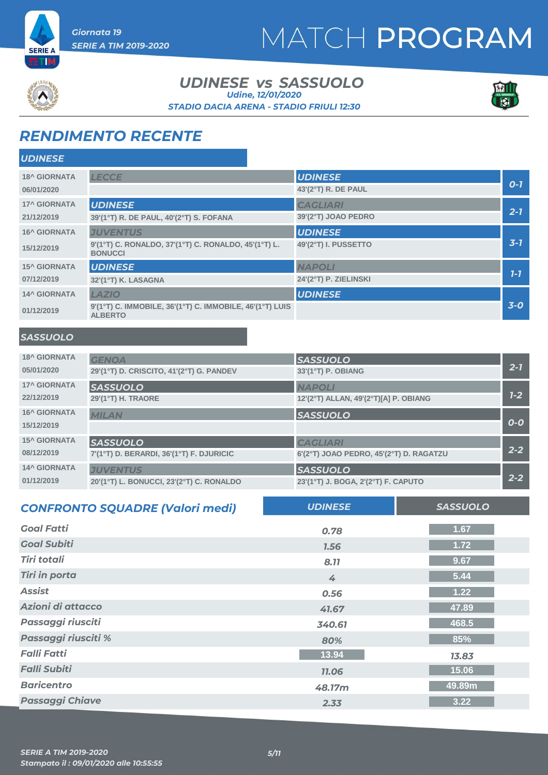



#### *UDINESE SASSUOLO vs STADIO DACIA ARENA - STADIO FRIULI 12:30 Udine, 12/01/2020*



### *RENDIMENTO RECENTE*

*Giornata 19* 

*SERIE A TIM 2019-2020*

| <b>UDINESE</b>      |                                                                            |                       |         |
|---------------------|----------------------------------------------------------------------------|-----------------------|---------|
| <b>18^ GIORNATA</b> | <b>LECCE</b>                                                               | <b>UDINESE</b>        |         |
| 06/01/2020          |                                                                            | 43'(2°T) R. DE PAUL   | $O-7$   |
| <b>17^ GIORNATA</b> | <b>UDINESE</b>                                                             | <b>CAGLIARI</b>       |         |
| 21/12/2019          | 39'(1°T) R. DE PAUL, 40'(2°T) S. FOFANA                                    | 39'(2°T) JOAO PEDRO   | $2 - 7$ |
| <b>16^ GIORNATA</b> | <b>JUVENTUS</b>                                                            | <b>UDINESE</b>        |         |
| 15/12/2019          | 9'(1°T) C. RONALDO, 37'(1°T) C. RONALDO, 45'(1°T) L.<br><b>BONUCCI</b>     | 49'(2°T) I. PUSSETTO  | $3 - 7$ |
| <b>15^ GIORNATA</b> | <b>UDINESE</b>                                                             | <b>NAPOLI</b>         |         |
| 07/12/2019          | 32'(1°T) K. LASAGNA                                                        | 24'(2°T) P. ZIELINSKI | $7 - 7$ |
| <b>14^ GIORNATA</b> | LAZIO                                                                      | <b>UDINESE</b>        |         |
| 01/12/2019          | 9'(1°T) C. IMMOBILE, 36'(1°T) C. IMMOBILE, 46'(1°T) LUIS<br><b>ALBERTO</b> |                       | $3-0$   |

### *SASSUOLO*

| <b>18^ GIORNATA</b> | <b>GENOA</b>                             | <b>SASSUOLO</b>                         |         |
|---------------------|------------------------------------------|-----------------------------------------|---------|
| 05/01/2020          | 29'(1°T) D. CRISCITO, 41'(2°T) G. PANDEV | 33'(1°T) P. OBIANG                      | $2 - 1$ |
| <b>17^ GIORNATA</b> | <b>SASSUOLO</b>                          | <b>NAPOLI</b>                           |         |
| 22/12/2019          | 29'(1°T) H. TRAORE                       | 12'(2°T) ALLAN, 49'(2°T)[A] P. OBIANG   | $1 - 2$ |
| <b>16^ GIORNATA</b> | <b>MILAN</b>                             | <b>SASSUOLO</b>                         |         |
| 15/12/2019          |                                          |                                         | $O-O$   |
| <b>15^ GIORNATA</b> | <b>SASSUOLO</b>                          | <b>CAGLIARI</b>                         |         |
| 08/12/2019          | 7'(1°T) D. BERARDI, 36'(1°T) F. DJURICIC | 6'(2°T) JOAO PEDRO, 45'(2°T) D. RAGATZU | $2 - 2$ |
| <b>14^ GIORNATA</b> | <b>JUVENTUS</b>                          | <b>SASSUOLO</b>                         |         |
| 01/12/2019          | 20'(1°T) L. BONUCCI, 23'(2°T) C. RONALDO | 23'(1°T) J. BOGA, 2'(2°T) F. CAPUTO     | $2 - 2$ |

| <b>CONFRONTO SQUADRE (Valori medi)</b> | <b>UDINESE</b> | <b>SASSUOLO</b> |
|----------------------------------------|----------------|-----------------|
| <b>Goal Fatti</b>                      | 0.78           | 1.67            |
| <b>Goal Subiti</b>                     | 1.56           | 1.72            |
| <b>Tiri totali</b>                     | 8.77           | 9.67            |
| <b>Tiri in porta</b>                   | 4              | 5.44            |
| <b>Assist</b>                          | 0.56           | 1.22            |
| Azioni di attacco                      | 41.67          | 47.89           |
| Passaggi riusciti                      | 340.61         | 468.5           |
| Passaggi riusciti %                    | 80%            | 85%             |
| <b>Falli Fatti</b>                     | 13.94          | 13.83           |
| <b>Falli Subiti</b>                    | <b>11.06</b>   | 15.06           |
| <b>Baricentro</b>                      | 48.17m         | 49.89m          |
| <b>Passaggi Chiave</b>                 | 2.33           | 3.22            |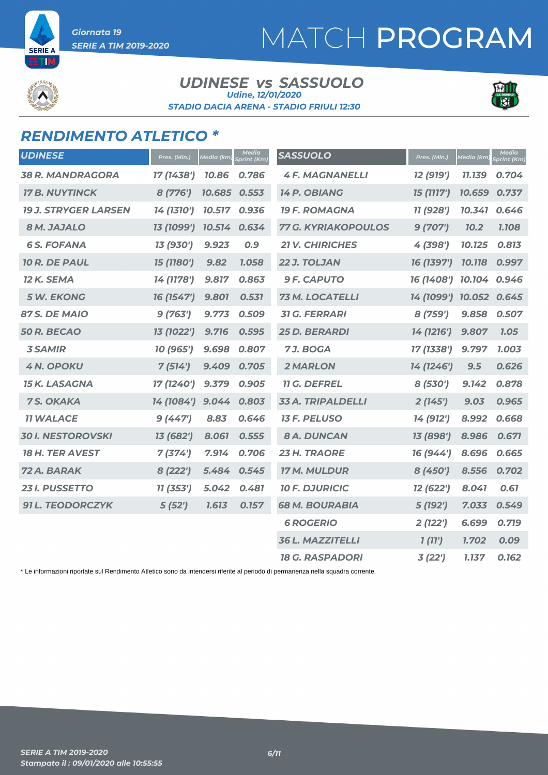

**SERIE** 

#### *UDINESE SASSUOLO vs STADIO DACIA ARENA - STADIO FRIULI 12:30 Udine, 12/01/2020*



### *RENDIMENTO ATLETICO \**

| <b>UDINESE</b>              | Pres. (Min.) | <u>Media (km)</u> | <b>Media</b><br><b>Sprint (Km)</b> | <b>SASSUOLO</b>            | Pres. (Min.) | <b>Media</b> (km) | <b>Media</b><br>Sprint (Km) |
|-----------------------------|--------------|-------------------|------------------------------------|----------------------------|--------------|-------------------|-----------------------------|
| <b>38 R. MANDRAGORA</b>     | 17 (1438')   | 10.86             | 0.786                              | <b>4 F. MAGNANELLI</b>     | 12 (919')    | 11.139            | 0.704                       |
| <b>17 B. NUYTINCK</b>       | 8 (776')     | 10.685 0.553      |                                    | 14 P. OBIANG               | 15 (1117')   | 10.659            | 0.737                       |
| <b>19 J. STRYGER LARSEN</b> | 14 (1310')   | 10.517            | 0.936                              | <b>19 F. ROMAGNA</b>       | 11 (928')    | 10.341            | 0.646                       |
| 8 M. JAJALO                 | 13 (1099')   | 10.514            | 0.634                              | <b>77 G. KYRIAKOPOULOS</b> | 9(707)       | <b>70.2</b>       | 1.108                       |
| <b>6S. FOFANA</b>           | 13 (930')    | 9.923             | 0.9                                | <b>21 V. CHIRICHES</b>     | 4 (398')     | 10.125            | 0.813                       |
| 10 R. DE PAUL               | 15 (1180')   | 9.82              | 1.058                              | 22 J. TOLJAN               | 16 (1397')   | 10.118            | 0.997                       |
| 12 K. SEMA                  | 14 (1178')   | 9.817             | 0.863                              | <b>9 F. CAPUTO</b>         | 16 (1408')   | 10.104            | 0.946                       |
| <b>5 W. EKONG</b>           | 16 (1547')   | 9.801             | 0.531                              | 73 M. LOCATELLI            | 14 (1099')   | 10.052            | 0.645                       |
| 87 S. DE MAIO               | 9(763')      | 9.773             | 0.509                              | <b>31 G. FERRARI</b>       | 8 (759')     | 9.858             | 0.507                       |
| <b>50 R. BECAO</b>          | 13 (1022')   | 9.716             | 0.595                              | <b>25 D. BERARDI</b>       | 14 (1216')   | 9.807             | 7.05                        |
| <b>3 SAMIR</b>              | 10 (965')    | 9.698             | 0.807                              | 7J. BOGA                   | 17 (1338')   | 9.797             | 1.003                       |
| <b>4 N. OPOKU</b>           | 7(514')      | 9.409             | 0.705                              | <b>2 MARLON</b>            | 14 (1246')   | 9.5               | 0.626                       |
| <b>15 K. LASAGNA</b>        | 17 (1240')   | 9.379             | 0.905                              | <b>11 G. DEFREL</b>        | 8 (530')     | 9.142             | 0.878                       |
| 7 S. OKAKA                  | 14 (1084')   | 9.044             | 0.803                              | <b>33 A. TRIPALDELLI</b>   | 2(145')      | 9.03              | 0.965                       |
| <b>11 WALACE</b>            | 9(447)       | 8.83              | 0.646                              | <b>13 F. PELUSO</b>        | 14 (912')    | 8.992             | 0.668                       |
| <b>30 I. NESTOROVSKI</b>    | 13 (682')    | 8.061             | 0.555                              | <b>8 A. DUNCAN</b>         | 13 (898')    | 8.986             | 0.671                       |
| <b>18 H. TER AVEST</b>      | 7(374)       | 7.914             | 0.706                              | 23 H. TRAORE               | 16 (944')    | 8.696             | 0.665                       |
| 72 A. BARAK                 | 8 (222')     | 5.484             | 0.545                              | 17 M. MULDUR               | 8(450')      | 8.556             | 0.702                       |
| <b>23 I. PUSSETTO</b>       | 11 (353')    | 5.042             | 0.481                              | <b>10 F. DJURICIC</b>      | 12 (622')    | 8.041             | 0.61                        |
| <b>91 L. TEODORCZYK</b>     | 5(52')       | 1.613             | 0.157                              | <b>68 M. BOURABIA</b>      | 5 (192')     | 7.033             | 0.549                       |
|                             |              |                   |                                    | <b>6 ROGERIO</b>           | 2(122')      | 6.699             | 0.719                       |
|                             |              |                   |                                    | <b>36 L. MAZZITELLI</b>    | 1(11')       | 1.702             | 0.09                        |
|                             |              |                   |                                    | <b>18 G. RASPADORI</b>     | 3(22')       | 1.137             | 0.162                       |

\* Le informazioni riportate sul Rendimento Atletico sono da intendersi riferite al periodo di permanenza nella squadra corrente.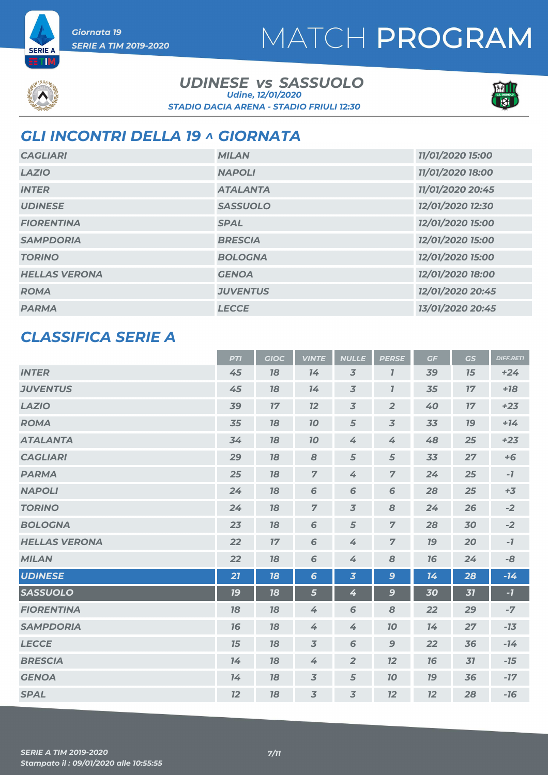# MATCH PROGRAM



**SERIE A** Ш

#### *UDINESE SASSUOLO vs STADIO DACIA ARENA - STADIO FRIULI 12:30 Udine, 12/01/2020*



### *GLI INCONTRI DELLA 19 ^ GIORNATA*

| <b>CAGLIARI</b>      | <b>MILAN</b>    | 11/01/2020 15:00 |
|----------------------|-----------------|------------------|
| <b>LAZIO</b>         | <b>NAPOLI</b>   | 11/01/2020 18:00 |
| <b>INTER</b>         | <b>ATALANTA</b> | 11/01/2020 20:45 |
| <b>UDINESE</b>       | <b>SASSUOLO</b> | 12/01/2020 12:30 |
| <b>FIORENTINA</b>    | <b>SPAL</b>     | 12/01/2020 15:00 |
| <b>SAMPDORIA</b>     | <b>BRESCIA</b>  | 12/01/2020 15:00 |
| <b>TORINO</b>        | <b>BOLOGNA</b>  | 12/01/2020 15:00 |
| <b>HELLAS VERONA</b> | <b>GENOA</b>    | 12/01/2020 18:00 |
| <b>ROMA</b>          | <b>JUVENTUS</b> | 12/01/2020 20:45 |
| <b>PARMA</b>         | <b>LECCE</b>    | 13/01/2020 20:45 |

### *CLASSIFICA SERIE A*

|                      | <b>PTI</b> | <b>GIOC</b> | <b>VINTE</b>    | <b>NULLE</b>            | <b>PERSE</b>   | GF | GS | <b>DIFF.RETI</b> |
|----------------------|------------|-------------|-----------------|-------------------------|----------------|----|----|------------------|
| <b>INTER</b>         | 45         | 78          | 14              | $\overline{3}$          | $\overline{I}$ | 39 | 15 | $+24$            |
| <b>JUVENTUS</b>      | 45         | 18          | 14              | $\overline{3}$          | $\overline{I}$ | 35 | 17 | $+18$            |
| <b>LAZIO</b>         | 39         | 17          | 12              | $\overline{3}$          | $\overline{2}$ | 40 | 17 | $+23$            |
| <b>ROMA</b>          | 35         | 18          | 10              | 5                       | $\overline{3}$ | 33 | 19 | $+14$            |
| <b>ATALANTA</b>      | 34         | 18          | 10              | 4                       | 4              | 48 | 25 | $+23$            |
| <b>CAGLIARI</b>      | 29         | 18          | 8               | 5                       | 5              | 33 | 27 | $+6$             |
| <b>PARMA</b>         | 25         | 18          | $\overline{7}$  | 4                       | $\overline{z}$ | 24 | 25 | $-7$             |
| <b>NAPOLI</b>        | 24         | 18          | 6               | 6                       | 6              | 28 | 25 | $+3$             |
| <b>TORINO</b>        | 24         | 78          | $\overline{7}$  | $\overline{3}$          | 8              | 24 | 26 | $-2$             |
| <b>BOLOGNA</b>       | 23         | 18          | 6               | $\sqrt{5}$              | $\overline{z}$ | 28 | 30 | $-2$             |
| <b>HELLAS VERONA</b> | 22         | 17          | 6               | 4                       | $\overline{7}$ | 79 | 20 | $-7$             |
| <b>MILAN</b>         | 22         | 78          | $\sqrt{6}$      | 4                       | 8              | 16 | 24 | -8               |
| <b>UDINESE</b>       | 21         | 18          | $6\phantom{1}6$ | $\overline{\mathbf{3}}$ | 9              | 14 | 28 | $-14$            |
| <b>SASSUOLO</b>      | 19         | 18          | 5               | 4                       | $\mathbf{9}$   | 30 | 31 | $-7$             |
| <b>FIORENTINA</b>    | 18         | 18          | $\overline{4}$  | 6                       | 8              | 22 | 29 | $-7$             |
| <b>SAMPDORIA</b>     | 16         | 18          | 4               | 4                       | 10             | 14 | 27 | $-13$            |
| <b>LECCE</b>         | 15         | 18          | $\overline{3}$  | 6                       | $\mathbf 9$    | 22 | 36 | $-14$            |
| <b>BRESCIA</b>       | 14         | 18          | 4               | $\overline{2}$          | 12             | 16 | 31 | $-15$            |
| <b>GENOA</b>         | 14         | 18          | $\overline{3}$  | $\sqrt{5}$              | 10             | 79 | 36 | $-17$            |
| <b>SPAL</b>          | 12         | 18          | $\overline{3}$  | $\overline{3}$          | 12             | 12 | 28 | $-16$            |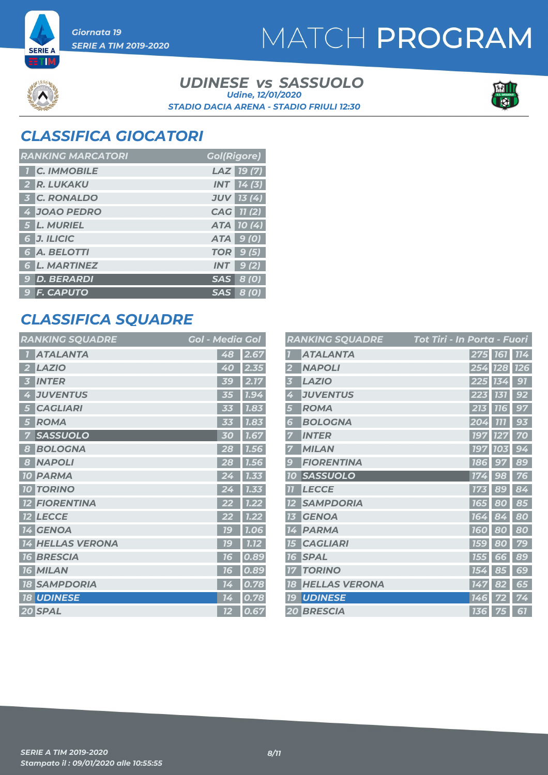# MATCH PROGRAM



**SERIE A TM** 

#### *UDINESE SASSUOLO vs STADIO DACIA ARENA - STADIO FRIULI 12:30 Udine, 12/01/2020*



### *CLASSIFICA GIOCATORI*

| <b>RANKING MARCATORI</b> | <b>Gol(Rigore)</b> |
|--------------------------|--------------------|
| <b>T C. IMMOBILE</b>     | LAZ 19(7)          |
| 2 R. LUKAKU              | $INT$ $14(3)$      |
| <b>3 C. RONALDO</b>      | <b>JUV 13 (4)</b>  |
| 4 JOAO PEDRO             | CAG 11 (2)         |
| 5 L. MURIEL              | ATA 10(4)          |
| 6 J. ILICIC              | ATA 9 (0)          |
| 6 A. BELOTTI             | <b>TOR</b> 9 (5)   |
| <b>6 L. MARTINEZ</b>     | $INT$ 9(2)         |
| 9 D. BERARDI             | SAS 8 (0)          |
| 9 F. CAPUTO              | SAS 8 (0)          |

### *CLASSIFICA SQUADRE*

| <b>RANKING SQUADRE</b>     | <b>Gol - Media Gol</b> |
|----------------------------|------------------------|
| <b>ATALANTA</b>            | 48<br>2.67             |
| <b>LAZIO</b>               | 2.35                   |
| 2                          | 40                     |
| <b>INTER</b>               | 2.17<br><b>39</b>      |
| <b>JUVENTUS</b>            | 1.94                   |
| 4                          | 35                     |
| <b>CAGLIARI</b>            | 1.83                   |
| 5                          | 53                     |
| <b>ROMA</b>                | 1.83                   |
| 5                          | 33                     |
| <b>SASSUOLO</b>            | 1.67                   |
| 7                          | 30                     |
| <b>BOLOGNA</b>             | 28                     |
| 8                          | 1.56                   |
| <b>NAPOLI</b>              | 28                     |
| 8                          | 1.56                   |
| <b>PARMA</b>               | 1.33                   |
| <b>10</b>                  | 24                     |
| <b>TORINO</b><br><b>10</b> | 1.33                   |
| <b>FIORENTINA</b>          | 1.22                   |
| <b>LECCE</b>               | 1.22                   |
| $12 \,$                    | 22                     |
| <b>14 GENOA</b>            | 79<br>1.06             |
| <b>HELLAS VERONA</b>       | 1C                     |
| 14                         | 1.12                   |
| <b>BRESCIA</b>             | 0.89                   |
| 16                         | 16                     |
| <b>16 MILAN</b>            | 0.89<br>76             |
| <b>SAMPDORIA</b>           | 0.78                   |
| 18                         | 14                     |
| <b>18 UDINESE</b>          | 0.78<br>14             |
| 20 SPAL                    | 0.67<br>12             |

|                  | <b>RANKING SQUADRE</b> | Tot Tiri - In Porta - Fuori |            |            |
|------------------|------------------------|-----------------------------|------------|------------|
|                  | <b>ATALANTA</b>        |                             | 275 161    | 114        |
| 2                | <b>NAPOLI</b>          |                             | 254 728    | <b>126</b> |
| 3                | <b>LAZIO</b>           |                             | 225 134    | 91         |
| 4                | <b>JUVENTUS</b>        | 223                         | 131        | 92         |
| 5                | <b>ROMA</b>            | 213                         | <b>116</b> | 97         |
| 6                | <b>BOLOGNA</b>         | 204                         | <b>777</b> | 93         |
| 7                | <b>INTER</b>           | <b>197</b>                  | 127        | 70         |
| 7                | <b>MILAN</b>           | <b>197</b>                  | 103        | 94         |
| $\boldsymbol{g}$ | <b>FIORENTINA</b>      | <b>186</b>                  | 97         | 89         |
| 10               | <b>SASSUOLO</b>        | 174                         | 98         | 76         |
| 77               | <b>LECCE</b>           | 173                         | 89         | 84         |
| 12               | <b>SAMPDORIA</b>       | <b>165</b>                  | 80         | 85         |
| 13               | <b>GENOA</b>           | 164                         | 84         | 80         |
| 14               | <b>PARMA</b>           | <b>160</b>                  | 80         | 80         |
| <b>15</b>        | <b>CAGLIARI</b>        | <b>159</b>                  | 80         | 79         |
| 16               | <b>SPAL</b>            | <b>155</b>                  | 66         | 89         |
| 77               | <b>TORINO</b>          | 154                         | 85         | 69         |
| 18               | <b>HELLAS VERONA</b>   | 147                         | 82         | 65         |
| 79               | <b>UDINESE</b>         | 146                         | 72         | 74         |
|                  | <b>20 BRESCIA</b>      | <b>136</b>                  | 75         | 67         |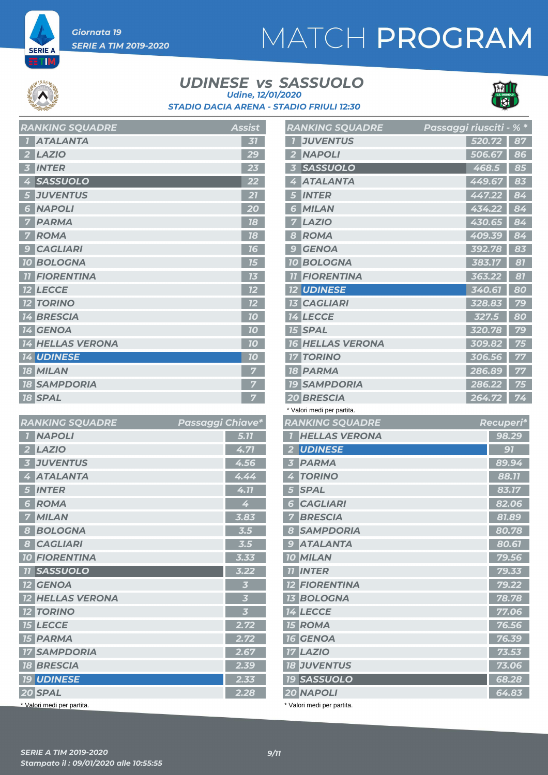# MATCH PROGRAM

**SERIE A** Ш

#### *UDINESE SASSUOLO vs STADIO DACIA ARENA - STADIO FRIULI 12:30 Udine, 12/01/2020*



| <b>RAINNINU JŲUADRE</b>           | AS5154         |
|-----------------------------------|----------------|
| <b>ATALANTA</b><br>$\overline{1}$ | 31             |
| <b>LAZIO</b><br>$\overline{2}$    | 29             |
| <b>INTER</b><br>3                 | 23             |
| <b>SASSUOLO</b><br>4              | 22             |
| <b>JUVENTUS</b><br>5              | 27             |
| <b>NAPOLI</b><br>6 <sup>1</sup>   | 20             |
| <b>PARMA</b><br>7                 | 18             |
| <b>ROMA</b><br>$\overline{7}$     | 78             |
| <b>CAGLIARI</b><br>9              | 16             |
| <b>10 BOLOGNA</b>                 | 15             |
| <b>TI FIORENTINA</b>              | 13             |
| <b>12 LECCE</b>                   | 12             |
| <b>12 TORINO</b>                  | 12             |
| <b>14 BRESCIA</b>                 | 10             |
| <b>14 GENOA</b>                   | 10             |
| <b>14 HELLAS VERONA</b>           | 10             |
| <b>14 UDINESE</b>                 | 10             |
| <b>18 MILAN</b>                   | $\overline{7}$ |
| <b>18 SAMPDORIA</b>               | 7              |
| <b>18 SPAL</b>                    | 7              |

*RANKING SQUADRE Assist*

| <b>RANKING SQUADRE</b>                     | Passaggi Chiave* |                         |
|--------------------------------------------|------------------|-------------------------|
| <b>NAPOLI</b><br>$\overline{1}$            |                  | 5.77                    |
| <b>LAZIO</b><br>$\overline{\mathbf{2}}$    |                  | 4.71                    |
| <b>JUVENTUS</b><br>$\overline{\mathbf{3}}$ |                  | 4.56                    |
| <b>ATALANTA</b><br>4                       |                  | 4.44                    |
| <b>INTER</b><br>5                          |                  | 4.11                    |
| <b>ROMA</b><br>6                           |                  | 4                       |
| <b>MILAN</b>                               |                  | 3.83                    |
| <b>BOLOGNA</b><br>8                        |                  | 3.5                     |
| <b>CAGLIARI</b><br>8                       |                  | 3.5                     |
| <b>10 FIORENTINA</b>                       |                  | 3.33                    |
| <b>11 SASSUOLO</b>                         |                  | $3.22$                  |
| <b>12 GENOA</b>                            |                  | $\overline{\mathbf{3}}$ |
| <b>12 HELLAS VERONA</b>                    |                  | $\overline{\mathbf{3}}$ |
| <b>12 TORINO</b>                           |                  | $\overline{\mathbf{3}}$ |
| <b>15 LECCE</b>                            |                  | 2.72                    |
| <b>15 PARMA</b>                            |                  | 2.72                    |
| <b>17 SAMPDORIA</b>                        |                  | 2.67                    |
| <b>18 BRESCIA</b>                          |                  | 2.39                    |
| <b>19 UDINESE</b>                          |                  | 2.33                    |
| 20 SPAL                                    |                  | 2.28                    |
| * Valori medi per partita.                 |                  |                         |

| <b>RANKING SQUADRE</b>                  | Passaggi riusciti - % * |           |       |
|-----------------------------------------|-------------------------|-----------|-------|
| <b>JUVENTUS</b><br>7                    | 520.72                  |           | 87    |
| <b>NAPOLI</b><br>$\mathbf{2}$           |                         | 506.67    | 86    |
| <b>SASSUOLO</b><br>51                   |                         | 468.5     | 85    |
| <b>ATALANTA</b><br>4                    | 449.67                  |           | 83    |
| <b>INTER</b>                            | 447.22                  |           | 84    |
| <b>MILAN</b><br>6                       | 434.22                  |           | 84    |
| <b>LAZIO</b><br>7                       | 430.65                  |           | 84    |
| <b>ROMA</b><br>8                        | 409.39                  |           | 84    |
| <b>GENOA</b><br>g                       | 392.78                  |           | 83    |
| <b>10 BOLOGNA</b>                       | 383.17                  |           | 81    |
| <b>FIORENTINA</b>                       | 363.22                  |           | 81    |
| <b>12 UDINESE</b>                       | 340.61                  |           | 80    |
| <b>13 CAGLIARI</b>                      | 328.83                  |           | 79    |
| <b>14 LECCE</b>                         | 327.5                   |           | 80    |
| <b>15 SPAL</b>                          | 320.78                  |           | 79    |
| <b>16 HELLAS VERONA</b>                 | 309.82                  |           | 75    |
| <b>TORINO</b><br>17                     | 306.56                  |           | 77    |
| <b>18 PARMA</b>                         | 286.89                  |           | 77    |
| <b>19 SAMPDORIA</b>                     | 286.22                  |           | 75    |
| <b>20 BRESCIA</b>                       | 264.72                  |           | 74    |
| * Valori medi per partita.              |                         |           |       |
| <b>RANKING SQUADRE</b>                  |                         | Recuperi* |       |
| <b>HELLAS VERONA</b><br>$\overline{1}$  |                         |           | 98.29 |
| <b>UDINESE</b><br>2                     |                         |           | 91    |
| <b>PARMA</b><br>$\overline{\mathbf{3}}$ |                         |           | 89.94 |
| 4<br><b>TORINO</b>                      |                         |           | 88.11 |
| <b>SPAL</b><br>5 <sup>1</sup>           |                         |           | 83.17 |
| <b>CAGLIARI</b><br>6                    |                         |           | 82.06 |
| <b>BRESCIA</b><br>7                     |                         |           | 81.89 |
| $\boldsymbol{8}$<br><b>SAMPDORIA</b>    |                         |           | 80.78 |
| <b>9 ATALANTA</b>                       |                         |           | 80.61 |

| $\overline{\mathbf{3}}$ | <b>PARMA</b>               | 89.94 |
|-------------------------|----------------------------|-------|
| 4                       | <b>TORINO</b>              | 88.11 |
| 5                       | <b>SPAL</b>                | 83.17 |
| 6                       | <b>CAGLIARI</b>            | 82.06 |
| 7                       | <b>BRESCIA</b>             | 81.89 |
| 8                       | <b>SAMPDORIA</b>           | 80.78 |
| 9                       | <b>ATALANTA</b>            | 80.61 |
|                         | <b>10 MILAN</b>            | 79.56 |
| 11                      | <b>INTER</b>               | 79.33 |
|                         | <b>12 FIORENTINA</b>       | 79.22 |
|                         | <b>13 BOLOGNA</b>          | 78.78 |
|                         | <b>14 LECCE</b>            | 77.06 |
|                         | <b>15 ROMA</b>             | 76.56 |
|                         | <b>16 GENOA</b>            | 76.39 |
|                         | <b>17 LAZIO</b>            | 73.53 |
|                         | <b>18 JUVENTUS</b>         | 73.06 |
|                         | <b>19 SASSUOLO</b>         | 68.28 |
|                         | <b>20 NAPOLI</b>           | 64.83 |
|                         | * Valori medi per partita. |       |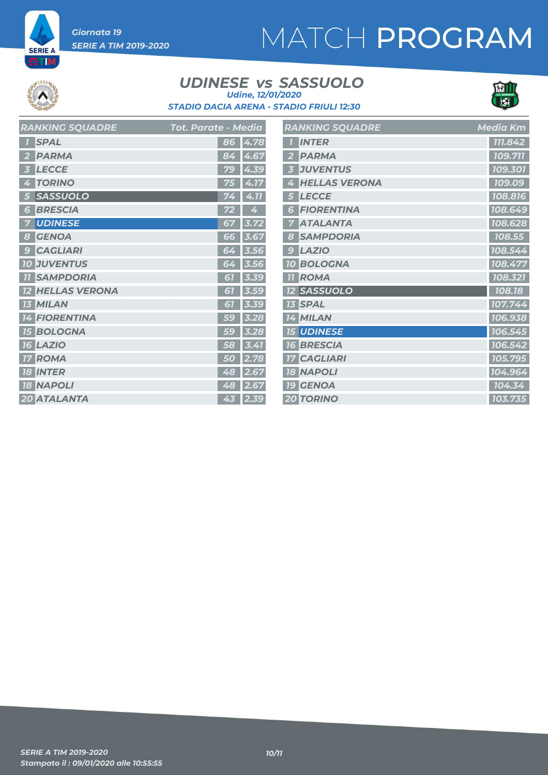# MATCH PROGRAM

**SERIE A** TM

#### *UDINESE SASSUOLO vs STADIO DACIA ARENA - STADIO FRIULI 12:30 Udine, 12/01/2020*



| <b>RANKING SQUADRE</b>        | Tot. Parate - Media | <b>RAI</b>                      |
|-------------------------------|---------------------|---------------------------------|
| <b>SPAL</b>                   | 86                  | $\overline{1}$<br>4.78          |
| <b>PARMA</b>                  | 84<br>4.            | $\overline{2}$<br>67            |
| <b>LECCE</b>                  | 79                  | $\overline{\mathbf{3}}$<br>4.39 |
| <b>TORINO</b><br>4            | 75                  | 4<br>4.17                       |
| <b>SASSUOLO</b><br>5          | 74                  | 5<br>4.11                       |
| <b>BRESCIA</b><br>6           | 72                  | G<br>4                          |
| <b>UDINESE</b>                | 67                  | 7<br>3.72                       |
| <b>GENOA</b><br>8             | 66                  | 8<br>3.67                       |
| <b>CAGLIARI</b><br>9          | 64                  | 9 <sup>°</sup><br>3.56          |
| <b>10 JUVENTUS</b>            | 64                  | 10 <sup>°</sup><br>3.56         |
| <b>SAMPDORIA</b><br><b>77</b> | 61                  | 11<br>3.39                      |
| <b>HELLAS VERONA</b>          | 61                  | 12<br>3.59                      |
| <b>MILAN</b><br>13            | 67                  | 13<br>3.39                      |
| <b>FIORENTINA</b><br>14       | 59                  | 14<br>3.28                      |
| <b>BOLOGNA</b><br><b>15</b>   | 59                  | 15<br>3.28                      |
| <b>16 LAZIO</b>               | 58                  | 76<br>3.41                      |
| <b>ROMA</b><br>17             | 50                  | 17<br>2.78                      |
| <b>18 INTER</b>               | 48                  | 18<br>2.67                      |
| <b>18 NAPOLI</b>              | 48                  | 19<br>2.67                      |
| 20 ATALANTA                   | 43                  | 20 <sub>2</sub><br>2.39         |

|                | <b>RANKING SQUADRE</b> | <b>Media Km</b> |
|----------------|------------------------|-----------------|
|                |                        |                 |
|                | <b>INTER</b>           | 111.842         |
|                | <b>PARMA</b>           | 109.711         |
| 3              | <b>JUVENTUS</b>        | 109.301         |
| 4              | <b>HELLAS VERONA</b>   | 109.09          |
| 5              | <b>LECCE</b>           | 108.816         |
| 6              | <b>FIORENTINA</b>      | 108.649         |
| 7              | <b>ATALANTA</b>        | 108.628         |
| 8              | <b>SAMPDORIA</b>       | 108.55          |
| $\overline{9}$ | <b>LAZIO</b>           | 108.544         |
| <b>10</b>      | <b>BOLOGNA</b>         | 108.477         |
| <b>77</b>      | <b>ROMA</b>            | 108.321         |
|                | <b>12 SASSUOLO</b>     | 108.18          |
| 13             | <b>SPAL</b>            | 107.744         |
| 14             | <b>MILAN</b>           | 106.938         |
|                | <b>15 UDINESE</b>      | 106.545         |
|                | <b>16 BRESCIA</b>      | 106.542         |
| <b>17</b>      | <b>CAGLIARI</b>        | 105.795         |
| <b>18</b>      | <b>NAPOLI</b>          | 104.964         |
| <b>19</b>      | <b>GENOA</b>           | 104.34          |
|                | <b>20 TORINO</b>       | 103.735         |